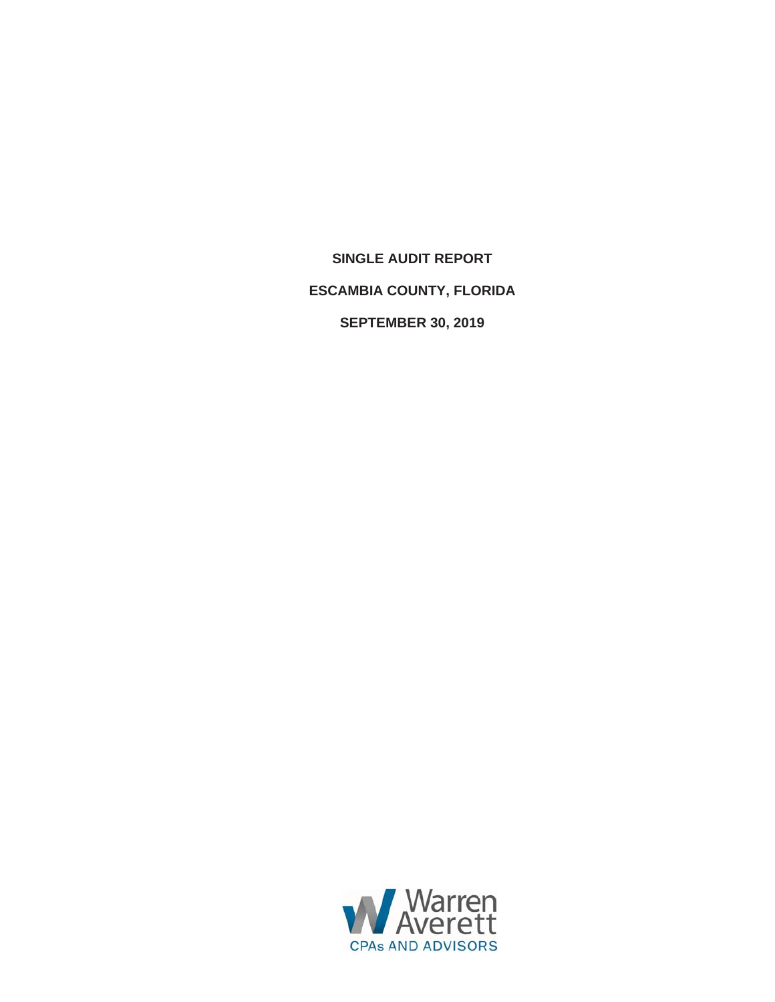**SINGLE AUDIT REPORT ESCAMBIA COUNTY, FLORIDA SEPTEMBER 30, 2019** 

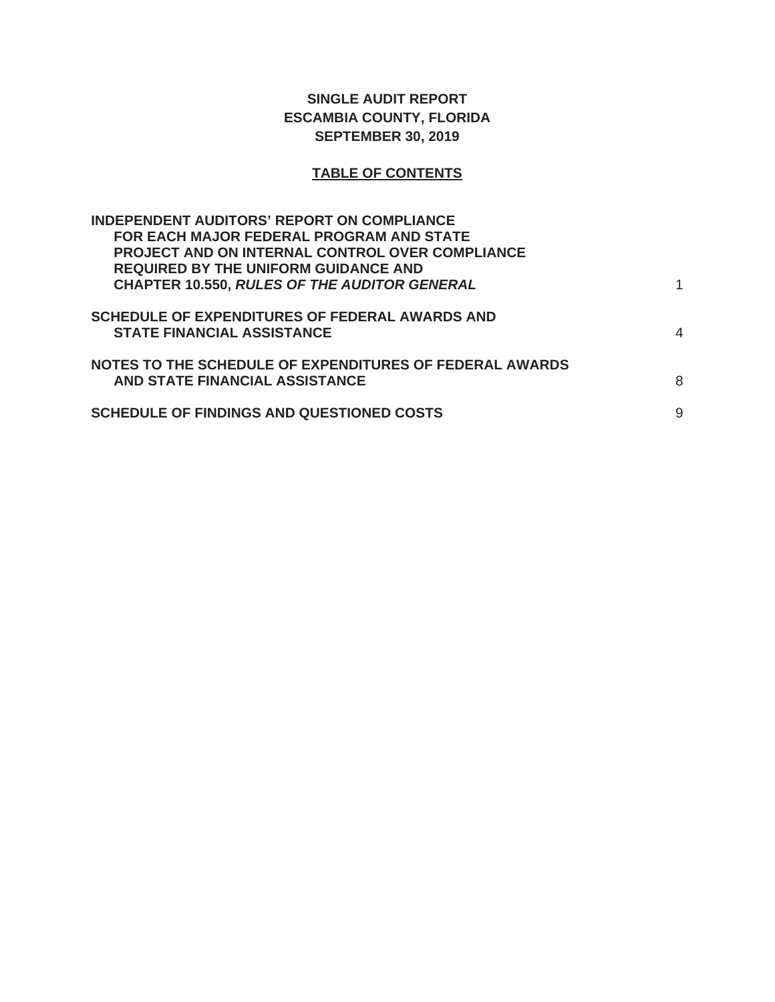## **SINGLE AUDIT REPORT ESCAMBIA COUNTY, FLORIDA SEPTEMBER 30, 2019**

# **TABLE OF CONTENTS**

| <b>INDEPENDENT AUDITORS' REPORT ON COMPLIANCE</b><br>FOR EACH MAJOR FEDERAL PROGRAM AND STATE<br><b>PROJECT AND ON INTERNAL CONTROL OVER COMPLIANCE</b> |   |
|---------------------------------------------------------------------------------------------------------------------------------------------------------|---|
| <b>REQUIRED BY THE UNIFORM GUIDANCE AND</b><br><b>CHAPTER 10.550, RULES OF THE AUDITOR GENERAL</b>                                                      |   |
| <b>SCHEDULE OF EXPENDITURES OF FEDERAL AWARDS AND</b><br><b>STATE FINANCIAL ASSISTANCE</b>                                                              | 4 |
| NOTES TO THE SCHEDULE OF EXPENDITURES OF FEDERAL AWARDS<br>AND STATE FINANCIAL ASSISTANCE                                                               | 8 |
| <b>SCHEDULE OF FINDINGS AND QUESTIONED COSTS</b>                                                                                                        | 9 |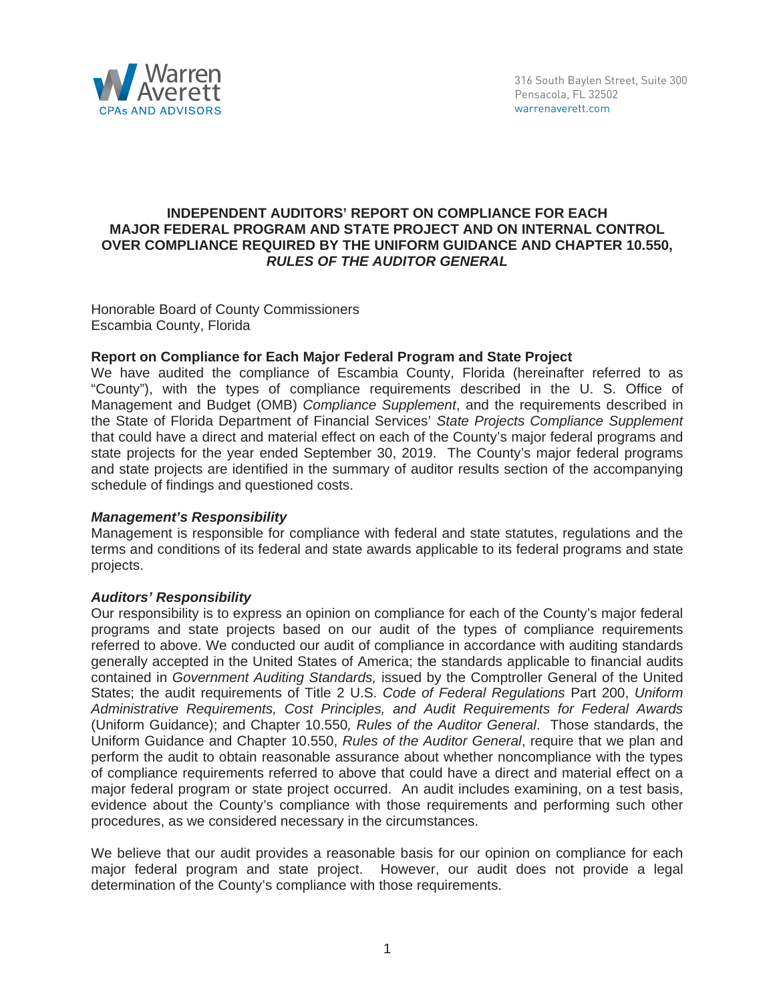

### **INDEPENDENT AUDITORS' REPORT ON COMPLIANCE FOR EACH MAJOR FEDERAL PROGRAM AND STATE PROJECT AND ON INTERNAL CONTROL OVER COMPLIANCE REQUIRED BY THE UNIFORM GUIDANCE AND CHAPTER 10.550,**  *RULES OF THE AUDITOR GENERAL*

Honorable Board of County Commissioners Escambia County, Florida

## **Report on Compliance for Each Major Federal Program and State Project**

We have audited the compliance of Escambia County, Florida (hereinafter referred to as "County"), with the types of compliance requirements described in the U. S. Office of Management and Budget (OMB) *Compliance Supplement*, and the requirements described in the State of Florida Department of Financial Services' *State Projects Compliance Supplement* that could have a direct and material effect on each of the County's major federal programs and state projects for the year ended September 30, 2019. The County's major federal programs and state projects are identified in the summary of auditor results section of the accompanying schedule of findings and questioned costs.

## *Management's Responsibility*

Management is responsible for compliance with federal and state statutes, regulations and the terms and conditions of its federal and state awards applicable to its federal programs and state projects.

#### *Auditors' Responsibility*

Our responsibility is to express an opinion on compliance for each of the County's major federal programs and state projects based on our audit of the types of compliance requirements referred to above. We conducted our audit of compliance in accordance with auditing standards generally accepted in the United States of America; the standards applicable to financial audits contained in *Government Auditing Standards,* issued by the Comptroller General of the United States; the audit requirements of Title 2 U.S. *Code of Federal Regulations* Part 200, *Uniform Administrative Requirements, Cost Principles, and Audit Requirements for Federal Awards* (Uniform Guidance); and Chapter 10.550*, Rules of the Auditor General*. Those standards, the Uniform Guidance and Chapter 10.550, *Rules of the Auditor General*, require that we plan and perform the audit to obtain reasonable assurance about whether noncompliance with the types of compliance requirements referred to above that could have a direct and material effect on a major federal program or state project occurred. An audit includes examining, on a test basis, evidence about the County's compliance with those requirements and performing such other procedures, as we considered necessary in the circumstances.

We believe that our audit provides a reasonable basis for our opinion on compliance for each major federal program and state project. However, our audit does not provide a legal determination of the County's compliance with those requirements.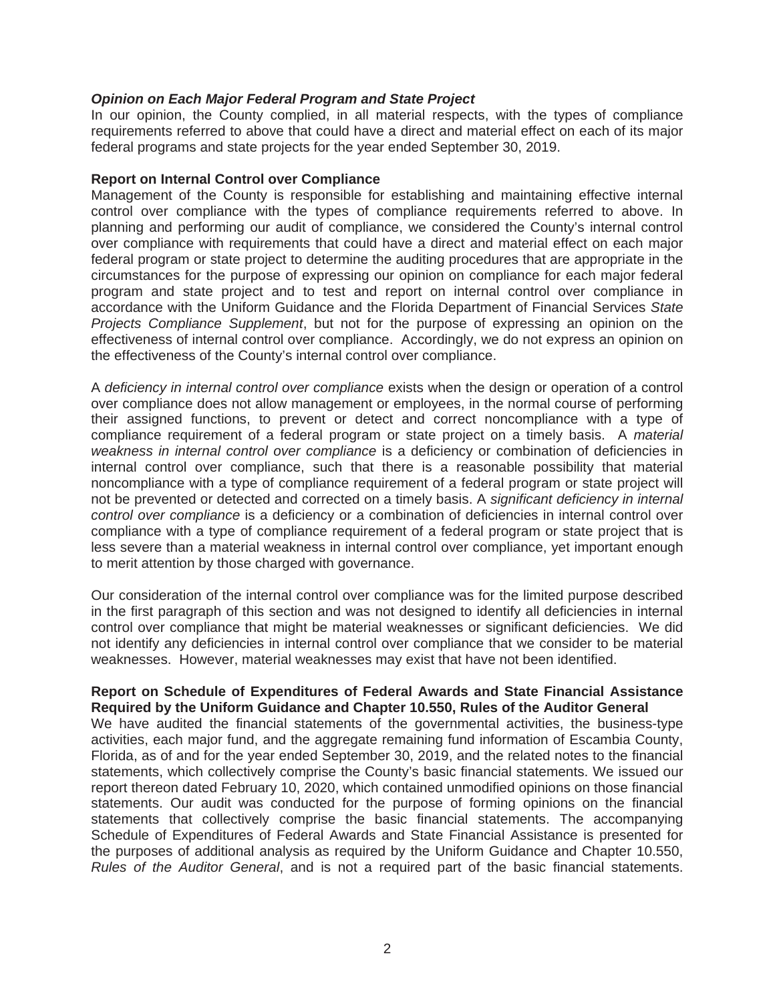## *Opinion on Each Major Federal Program and State Project*

In our opinion, the County complied, in all material respects, with the types of compliance requirements referred to above that could have a direct and material effect on each of its major federal programs and state projects for the year ended September 30, 2019.

#### **Report on Internal Control over Compliance**

Management of the County is responsible for establishing and maintaining effective internal control over compliance with the types of compliance requirements referred to above. In planning and performing our audit of compliance, we considered the County's internal control over compliance with requirements that could have a direct and material effect on each major federal program or state project to determine the auditing procedures that are appropriate in the circumstances for the purpose of expressing our opinion on compliance for each major federal program and state project and to test and report on internal control over compliance in accordance with the Uniform Guidance and the Florida Department of Financial Services *State Projects Compliance Supplement*, but not for the purpose of expressing an opinion on the effectiveness of internal control over compliance. Accordingly, we do not express an opinion on the effectiveness of the County's internal control over compliance.

A *deficiency in internal control over compliance* exists when the design or operation of a control over compliance does not allow management or employees, in the normal course of performing their assigned functions, to prevent or detect and correct noncompliance with a type of compliance requirement of a federal program or state project on a timely basis. A *material weakness in internal control over compliance* is a deficiency or combination of deficiencies in internal control over compliance, such that there is a reasonable possibility that material noncompliance with a type of compliance requirement of a federal program or state project will not be prevented or detected and corrected on a timely basis. A *significant deficiency in internal control over compliance* is a deficiency or a combination of deficiencies in internal control over compliance with a type of compliance requirement of a federal program or state project that is less severe than a material weakness in internal control over compliance, yet important enough to merit attention by those charged with governance.

Our consideration of the internal control over compliance was for the limited purpose described in the first paragraph of this section and was not designed to identify all deficiencies in internal control over compliance that might be material weaknesses or significant deficiencies. We did not identify any deficiencies in internal control over compliance that we consider to be material weaknesses. However, material weaknesses may exist that have not been identified.

#### **Report on Schedule of Expenditures of Federal Awards and State Financial Assistance Required by the Uniform Guidance and Chapter 10.550, Rules of the Auditor General**

We have audited the financial statements of the governmental activities, the business-type activities, each major fund, and the aggregate remaining fund information of Escambia County, Florida, as of and for the year ended September 30, 2019, and the related notes to the financial statements, which collectively comprise the County's basic financial statements. We issued our report thereon dated February 10, 2020, which contained unmodified opinions on those financial statements. Our audit was conducted for the purpose of forming opinions on the financial statements that collectively comprise the basic financial statements. The accompanying Schedule of Expenditures of Federal Awards and State Financial Assistance is presented for the purposes of additional analysis as required by the Uniform Guidance and Chapter 10.550, *Rules of the Auditor General*, and is not a required part of the basic financial statements.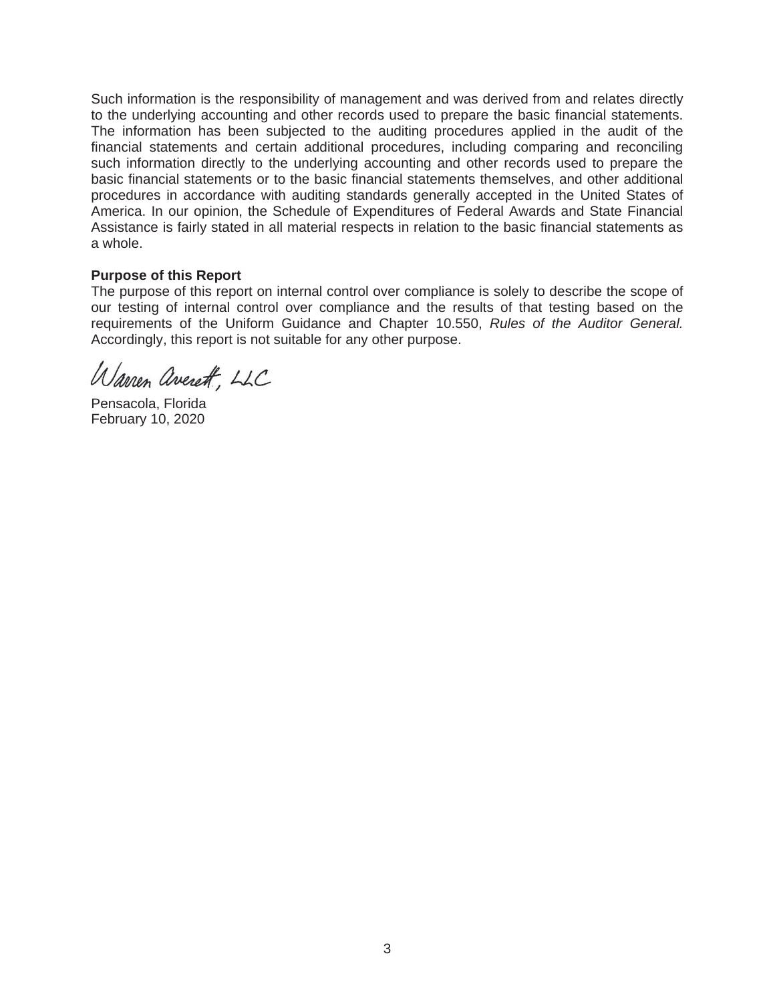Such information is the responsibility of management and was derived from and relates directly to the underlying accounting and other records used to prepare the basic financial statements. The information has been subjected to the auditing procedures applied in the audit of the financial statements and certain additional procedures, including comparing and reconciling such information directly to the underlying accounting and other records used to prepare the basic financial statements or to the basic financial statements themselves, and other additional procedures in accordance with auditing standards generally accepted in the United States of America. In our opinion, the Schedule of Expenditures of Federal Awards and State Financial Assistance is fairly stated in all material respects in relation to the basic financial statements as a whole.

#### **Purpose of this Report**

The purpose of this report on internal control over compliance is solely to describe the scope of our testing of internal control over compliance and the results of that testing based on the requirements of the Uniform Guidance and Chapter 10.550, *Rules of the Auditor General.*  Accordingly, this report is not suitable for any other purpose.

Warren averett, LLC

Pensacola, Florida February 10, 2020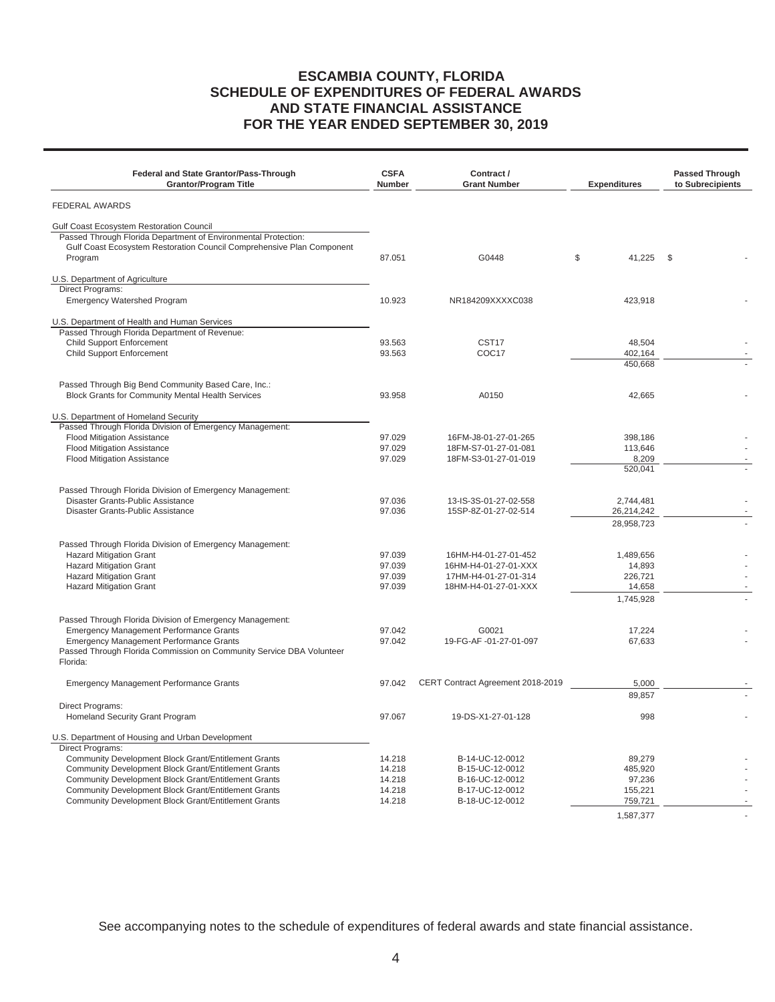## **ESCAMBIA COUNTY, FLORIDA SCHEDULE OF EXPENDITURES OF FEDERAL AWARDS AND STATE FINANCIAL ASSISTANCE FOR THE YEAR ENDED SEPTEMBER 30, 2019**

| <b>Federal and State Grantor/Pass-Through</b><br><b>Grantor/Program Title</b>                                                           | <b>CSFA</b><br><b>Number</b> | Contract /<br><b>Grant Number</b>            | <b>Expenditures</b>      | <b>Passed Through</b><br>to Subrecipients |
|-----------------------------------------------------------------------------------------------------------------------------------------|------------------------------|----------------------------------------------|--------------------------|-------------------------------------------|
| <b>FEDERAL AWARDS</b>                                                                                                                   |                              |                                              |                          |                                           |
| <b>Gulf Coast Ecosystem Restoration Council</b>                                                                                         |                              |                                              |                          |                                           |
| Passed Through Florida Department of Environmental Protection:<br>Gulf Coast Ecosystem Restoration Council Comprehensive Plan Component |                              |                                              |                          |                                           |
| Program                                                                                                                                 | 87.051                       | G0448                                        | \$<br>41,225             | - \$                                      |
| U.S. Department of Agriculture                                                                                                          |                              |                                              |                          |                                           |
| Direct Programs:<br><b>Emergency Watershed Program</b>                                                                                  | 10.923                       | NR184209XXXXC038                             | 423,918                  |                                           |
|                                                                                                                                         |                              |                                              |                          |                                           |
| U.S. Department of Health and Human Services<br>Passed Through Florida Department of Revenue:                                           |                              |                                              |                          |                                           |
| <b>Child Support Enforcement</b>                                                                                                        | 93.563                       | CST <sub>17</sub>                            | 48,504                   |                                           |
| Child Support Enforcement                                                                                                               | 93.563                       | COC17                                        | 402,164                  |                                           |
|                                                                                                                                         |                              |                                              | 450,668                  |                                           |
| Passed Through Big Bend Community Based Care, Inc.:                                                                                     |                              |                                              |                          |                                           |
| Block Grants for Community Mental Health Services                                                                                       | 93.958                       | A0150                                        | 42,665                   |                                           |
| U.S. Department of Homeland Security                                                                                                    |                              |                                              |                          |                                           |
| Passed Through Florida Division of Emergency Management:                                                                                |                              |                                              |                          |                                           |
| <b>Flood Mitigation Assistance</b>                                                                                                      | 97.029                       | 16FM-J8-01-27-01-265                         | 398,186                  |                                           |
| <b>Flood Mitigation Assistance</b>                                                                                                      | 97.029                       | 18FM-S7-01-27-01-081                         | 113,646                  |                                           |
| <b>Flood Mitigation Assistance</b>                                                                                                      | 97.029                       | 18FM-S3-01-27-01-019                         | 8,209                    |                                           |
|                                                                                                                                         |                              |                                              | 520,041                  |                                           |
| Passed Through Florida Division of Emergency Management:                                                                                |                              |                                              |                          |                                           |
| Disaster Grants-Public Assistance                                                                                                       | 97.036                       | 13-IS-3S-01-27-02-558                        | 2,744,481                |                                           |
| Disaster Grants-Public Assistance                                                                                                       | 97.036                       | 15SP-8Z-01-27-02-514                         | 26,214,242<br>28,958,723 |                                           |
|                                                                                                                                         |                              |                                              |                          |                                           |
| Passed Through Florida Division of Emergency Management:                                                                                |                              |                                              |                          |                                           |
| <b>Hazard Mitigation Grant</b>                                                                                                          | 97.039                       | 16HM-H4-01-27-01-452                         | 1,489,656                |                                           |
| <b>Hazard Mitigation Grant</b>                                                                                                          | 97.039                       | 16HM-H4-01-27-01-XXX                         | 14,893                   |                                           |
| <b>Hazard Mitigation Grant</b><br><b>Hazard Mitigation Grant</b>                                                                        | 97.039<br>97.039             | 17HM-H4-01-27-01-314<br>18HM-H4-01-27-01-XXX | 226,721<br>14,658        |                                           |
|                                                                                                                                         |                              |                                              | 1,745,928                |                                           |
|                                                                                                                                         |                              |                                              |                          |                                           |
| Passed Through Florida Division of Emergency Management:<br><b>Emergency Management Performance Grants</b>                              | 97.042                       | G0021                                        | 17,224                   |                                           |
| <b>Emergency Management Performance Grants</b>                                                                                          | 97.042                       | 19-FG-AF-01-27-01-097                        | 67,633                   |                                           |
| Passed Through Florida Commission on Community Service DBA Volunteer<br>Florida:                                                        |                              |                                              |                          |                                           |
| <b>Emergency Management Performance Grants</b>                                                                                          | 97.042                       | CERT Contract Agreement 2018-2019            | 5,000                    |                                           |
|                                                                                                                                         |                              |                                              | 89,857                   |                                           |
| Direct Programs:<br>Homeland Security Grant Program                                                                                     | 97.067                       | 19-DS-X1-27-01-128                           | 998                      |                                           |
|                                                                                                                                         |                              |                                              |                          |                                           |
| U.S. Department of Housing and Urban Development<br>Direct Programs:                                                                    |                              |                                              |                          |                                           |
| Community Development Block Grant/Entitlement Grants                                                                                    | 14.218                       | B-14-UC-12-0012                              | 89,279                   |                                           |
| Community Development Block Grant/Entitlement Grants                                                                                    | 14.218                       | B-15-UC-12-0012                              | 485,920                  |                                           |
| Community Development Block Grant/Entitlement Grants                                                                                    | 14.218                       | B-16-UC-12-0012                              | 97,236                   |                                           |
| Community Development Block Grant/Entitlement Grants                                                                                    | 14.218                       | B-17-UC-12-0012                              | 155,221                  |                                           |
| Community Development Block Grant/Entitlement Grants                                                                                    | 14.218                       | B-18-UC-12-0012                              | 759,721                  |                                           |
|                                                                                                                                         |                              |                                              | 1,587,377                | $\sim$                                    |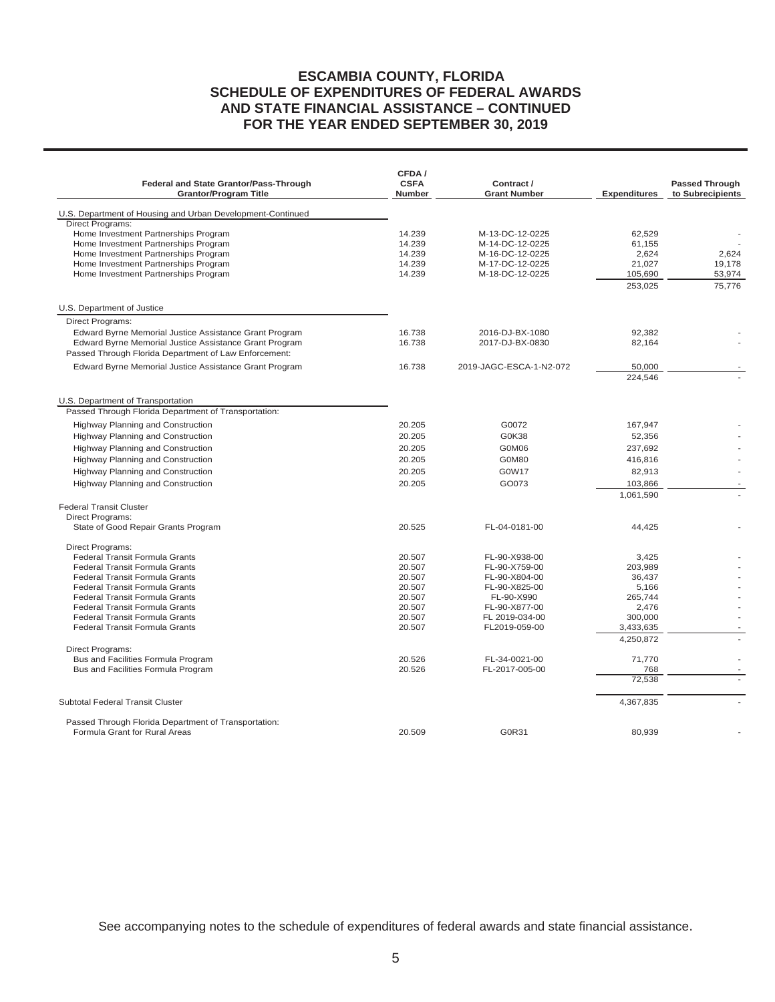## **ESCAMBIA COUNTY, FLORIDA SCHEDULE OF EXPENDITURES OF FEDERAL AWARDS AND STATE FINANCIAL ASSISTANCE – CONTINUED FOR THE YEAR ENDED SEPTEMBER 30, 2019**

| Federal and State Grantor/Pass-Through<br><b>Grantor/Program Title</b>                | CFDA/<br><b>CSFA</b><br>Number | Contract /<br><b>Grant Number</b> | <b>Expenditures</b> | <b>Passed Through</b><br>to Subrecipients |
|---------------------------------------------------------------------------------------|--------------------------------|-----------------------------------|---------------------|-------------------------------------------|
| U.S. Department of Housing and Urban Development-Continued                            |                                |                                   |                     |                                           |
| Direct Programs:                                                                      |                                |                                   |                     |                                           |
| Home Investment Partnerships Program                                                  | 14.239                         | M-13-DC-12-0225                   | 62.529              |                                           |
| Home Investment Partnerships Program                                                  | 14.239                         | M-14-DC-12-0225                   | 61,155              |                                           |
| Home Investment Partnerships Program                                                  | 14.239                         | M-16-DC-12-0225                   | 2,624               | 2.624                                     |
| Home Investment Partnerships Program                                                  | 14.239                         | M-17-DC-12-0225                   | 21,027              | 19,178                                    |
| Home Investment Partnerships Program                                                  | 14.239                         | M-18-DC-12-0225                   | 105,690             | 53,974                                    |
|                                                                                       |                                |                                   | 253,025             | 75,776                                    |
| U.S. Department of Justice                                                            |                                |                                   |                     |                                           |
| <b>Direct Programs:</b>                                                               |                                |                                   |                     |                                           |
| Edward Byrne Memorial Justice Assistance Grant Program                                | 16.738                         | 2016-DJ-BX-1080                   | 92,382              |                                           |
| Edward Byrne Memorial Justice Assistance Grant Program                                | 16.738                         | 2017-DJ-BX-0830                   | 82,164              |                                           |
| Passed Through Florida Department of Law Enforcement:                                 |                                |                                   |                     |                                           |
| Edward Byrne Memorial Justice Assistance Grant Program                                | 16.738                         | 2019-JAGC-ESCA-1-N2-072           | 50.000              |                                           |
|                                                                                       |                                |                                   | 224,546             |                                           |
| U.S. Department of Transportation                                                     |                                |                                   |                     |                                           |
| Passed Through Florida Department of Transportation:                                  |                                |                                   |                     |                                           |
| Highway Planning and Construction                                                     | 20.205                         | G0072                             | 167,947             |                                           |
| Highway Planning and Construction                                                     | 20.205                         | G0K38                             | 52,356              |                                           |
| Highway Planning and Construction                                                     | 20.205                         | G0M06                             | 237,692             |                                           |
|                                                                                       |                                |                                   |                     |                                           |
| Highway Planning and Construction                                                     | 20.205                         | G0M80                             | 416,816             |                                           |
| Highway Planning and Construction                                                     | 20.205                         | G0W17                             | 82,913              |                                           |
| <b>Highway Planning and Construction</b>                                              | 20.205                         | GO073                             | 103,866             |                                           |
|                                                                                       |                                |                                   | 1,061,590           |                                           |
| <b>Federal Transit Cluster</b>                                                        |                                |                                   |                     |                                           |
| <b>Direct Programs:</b>                                                               |                                |                                   |                     |                                           |
| State of Good Repair Grants Program                                                   | 20.525                         | FL-04-0181-00                     | 44,425              |                                           |
| Direct Programs:                                                                      |                                |                                   |                     |                                           |
| Federal Transit Formula Grants                                                        | 20.507                         | FL-90-X938-00                     | 3,425               |                                           |
| <b>Federal Transit Formula Grants</b>                                                 | 20.507                         | FL-90-X759-00                     | 203,989             |                                           |
| Federal Transit Formula Grants<br><b>Federal Transit Formula Grants</b>               | 20.507<br>20.507               | FL-90-X804-00<br>FL-90-X825-00    | 36,437<br>5.166     |                                           |
| <b>Federal Transit Formula Grants</b>                                                 | 20.507                         | FL-90-X990                        | 265,744             |                                           |
| Federal Transit Formula Grants                                                        | 20.507                         | FL-90-X877-00                     | 2,476               |                                           |
| <b>Federal Transit Formula Grants</b>                                                 | 20.507                         | FL 2019-034-00                    | 300,000             |                                           |
| <b>Federal Transit Formula Grants</b>                                                 | 20.507                         | FL2019-059-00                     | 3,433,635           |                                           |
|                                                                                       |                                |                                   | 4,250,872           |                                           |
| <b>Direct Programs:</b>                                                               |                                |                                   |                     |                                           |
| Bus and Facilities Formula Program                                                    | 20.526                         | FL-34-0021-00                     | 71,770              |                                           |
| Bus and Facilities Formula Program                                                    | 20.526                         | FL-2017-005-00                    | 768                 |                                           |
|                                                                                       |                                |                                   | 72,538              |                                           |
| Subtotal Federal Transit Cluster                                                      |                                |                                   | 4,367,835           |                                           |
|                                                                                       |                                |                                   |                     |                                           |
| Passed Through Florida Department of Transportation:<br>Formula Grant for Rural Areas | 20.509                         | G0R31                             | 80,939              |                                           |
|                                                                                       |                                |                                   |                     |                                           |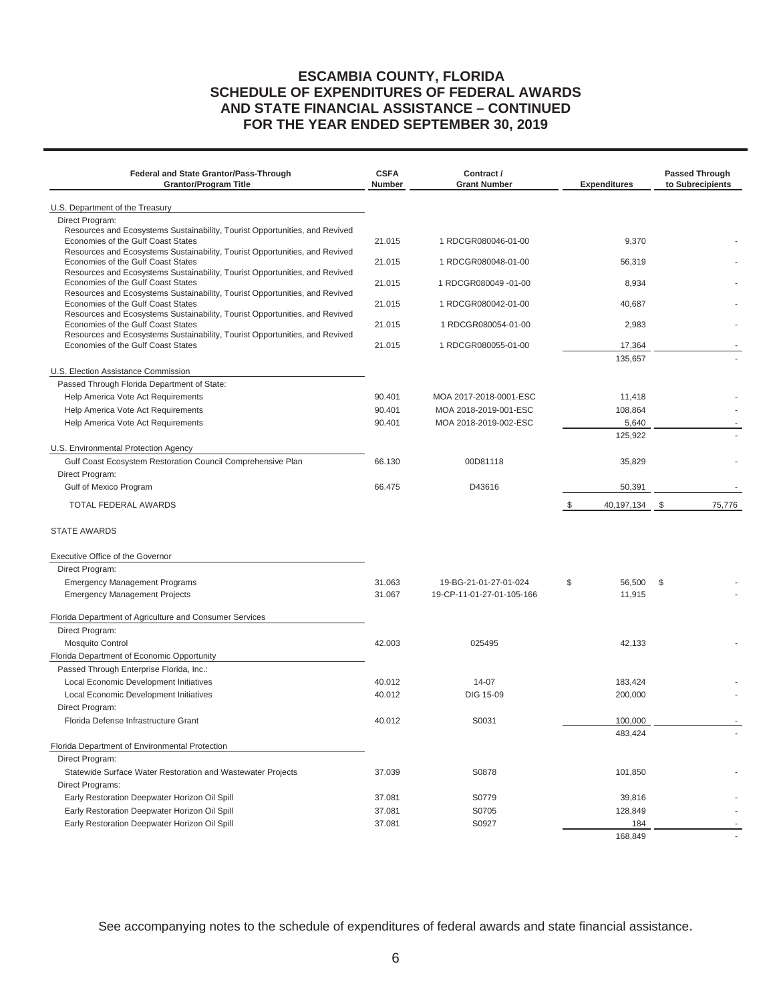## **ESCAMBIA COUNTY, FLORIDA SCHEDULE OF EXPENDITURES OF FEDERAL AWARDS AND STATE FINANCIAL ASSISTANCE – CONTINUED FOR THE YEAR ENDED SEPTEMBER 30, 2019**

| <b>Federal and State Grantor/Pass-Through</b><br><b>Grantor/Program Title</b>                                     | <b>CSFA</b><br><b>Number</b> | Contract /<br><b>Grant Number</b> | <b>Expenditures</b> |     | <b>Passed Through</b><br>to Subrecipients |
|-------------------------------------------------------------------------------------------------------------------|------------------------------|-----------------------------------|---------------------|-----|-------------------------------------------|
| U.S. Department of the Treasury                                                                                   |                              |                                   |                     |     |                                           |
| Direct Program:                                                                                                   |                              |                                   |                     |     |                                           |
| Resources and Ecosystems Sustainability, Tourist Opportunities, and Revived                                       |                              |                                   |                     |     |                                           |
| Economies of the Gulf Coast States                                                                                | 21.015                       | 1 RDCGR080046-01-00               | 9,370               |     |                                           |
| Resources and Ecosystems Sustainability, Tourist Opportunities, and Revived<br>Economies of the Gulf Coast States | 21.015                       | 1 RDCGR080048-01-00               | 56,319              |     |                                           |
| Resources and Ecosystems Sustainability, Tourist Opportunities, and Revived                                       |                              |                                   |                     |     |                                           |
| Economies of the Gulf Coast States<br>Resources and Ecosystems Sustainability, Tourist Opportunities, and Revived | 21.015                       | 1 RDCGR080049 -01-00              | 8,934               |     |                                           |
| Economies of the Gulf Coast States                                                                                | 21.015                       | 1 RDCGR080042-01-00               | 40,687              |     |                                           |
| Resources and Ecosystems Sustainability, Tourist Opportunities, and Revived                                       |                              |                                   |                     |     |                                           |
| Economies of the Gulf Coast States<br>Resources and Ecosystems Sustainability, Tourist Opportunities, and Revived | 21.015                       | 1 RDCGR080054-01-00               | 2,983               |     |                                           |
| Economies of the Gulf Coast States                                                                                | 21.015                       | 1 RDCGR080055-01-00               | 17,364              |     |                                           |
|                                                                                                                   |                              |                                   | 135,657             |     |                                           |
| U.S. Election Assistance Commission                                                                               |                              |                                   |                     |     |                                           |
| Passed Through Florida Department of State:                                                                       |                              |                                   |                     |     |                                           |
| Help America Vote Act Requirements                                                                                | 90.401                       | MOA 2017-2018-0001-ESC            | 11,418              |     |                                           |
| Help America Vote Act Requirements                                                                                | 90.401                       | MOA 2018-2019-001-ESC             | 108,864             |     |                                           |
| Help America Vote Act Requirements                                                                                | 90.401                       | MOA 2018-2019-002-ESC             | 5,640               |     |                                           |
|                                                                                                                   |                              |                                   | 125,922             |     |                                           |
| U.S. Environmental Protection Agency                                                                              |                              |                                   |                     |     |                                           |
| Gulf Coast Ecosystem Restoration Council Comprehensive Plan                                                       | 66.130                       | 00D81118                          | 35,829              |     |                                           |
| Direct Program:                                                                                                   |                              |                                   |                     |     |                                           |
| Gulf of Mexico Program                                                                                            | 66.475                       | D43616                            | 50,391              |     |                                           |
| <b>TOTAL FEDERAL AWARDS</b>                                                                                       |                              |                                   | \$<br>40,197,134 \$ |     | 75,776                                    |
| <b>STATE AWARDS</b>                                                                                               |                              |                                   |                     |     |                                           |
| Executive Office of the Governor                                                                                  |                              |                                   |                     |     |                                           |
| Direct Program:                                                                                                   |                              |                                   |                     |     |                                           |
| <b>Emergency Management Programs</b>                                                                              | 31.063                       | 19-BG-21-01-27-01-024             | \$<br>56,500        | -\$ |                                           |
| <b>Emergency Management Projects</b>                                                                              | 31.067                       | 19-CP-11-01-27-01-105-166         | 11,915              |     |                                           |
| Florida Department of Agriculture and Consumer Services                                                           |                              |                                   |                     |     |                                           |
| Direct Program:                                                                                                   |                              |                                   |                     |     |                                           |
| <b>Mosquito Control</b>                                                                                           | 42.003                       | 025495                            | 42,133              |     |                                           |
| Florida Department of Economic Opportunity                                                                        |                              |                                   |                     |     |                                           |
| Passed Through Enterprise Florida, Inc.:                                                                          |                              |                                   |                     |     |                                           |
| Local Economic Development Initiatives                                                                            | 40.012                       | 14-07                             | 183,424             |     |                                           |
| Local Economic Development Initiatives                                                                            | 40.012                       | <b>DIG 15-09</b>                  | 200,000             |     |                                           |
| Direct Program:<br>Florida Defense Infrastructure Grant                                                           | 40.012                       | S0031                             | 100,000             |     |                                           |
|                                                                                                                   |                              |                                   | 483,424             |     |                                           |
| Florida Department of Environmental Protection                                                                    |                              |                                   |                     |     |                                           |
| Direct Program:                                                                                                   |                              |                                   |                     |     |                                           |
| Statewide Surface Water Restoration and Wastewater Projects                                                       | 37.039                       | S0878                             | 101,850             |     |                                           |
| Direct Programs:                                                                                                  |                              |                                   |                     |     |                                           |
| Early Restoration Deepwater Horizon Oil Spill                                                                     | 37.081                       | S0779                             | 39,816              |     |                                           |
| Early Restoration Deepwater Horizon Oil Spill                                                                     | 37.081                       | S0705                             | 128,849             |     |                                           |
| Early Restoration Deepwater Horizon Oil Spill                                                                     | 37.081                       | S0927                             | 184                 |     |                                           |
|                                                                                                                   |                              |                                   | 168,849             |     |                                           |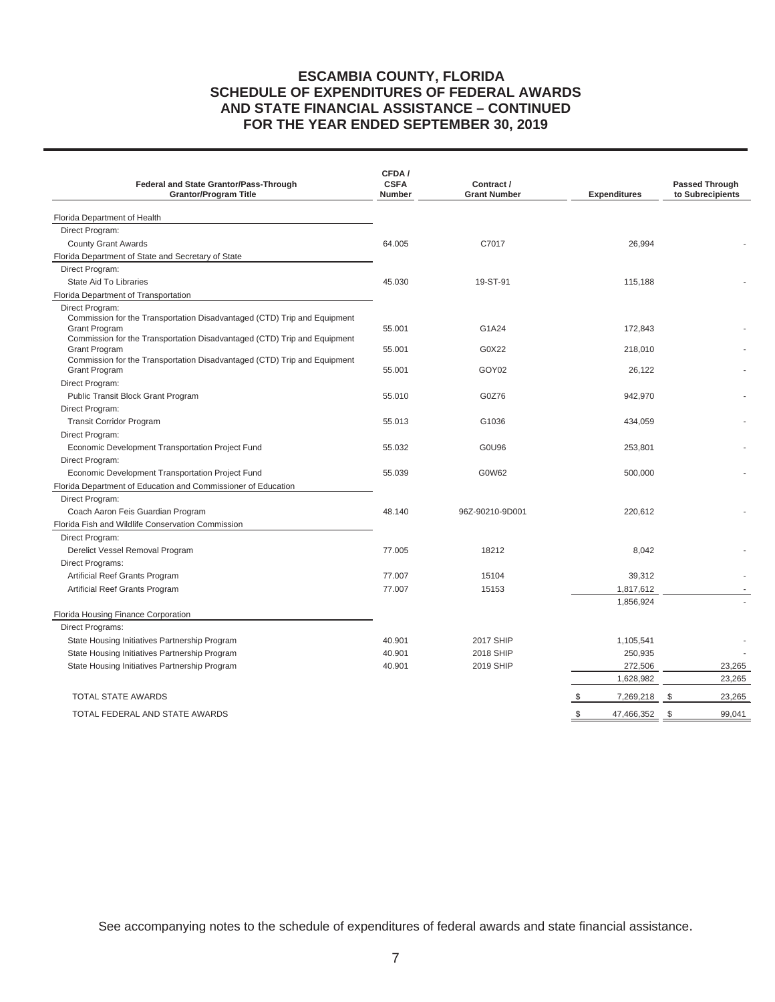## **ESCAMBIA COUNTY, FLORIDA SCHEDULE OF EXPENDITURES OF FEDERAL AWARDS AND STATE FINANCIAL ASSISTANCE – CONTINUED FOR THE YEAR ENDED SEPTEMBER 30, 2019**

| Federal and State Grantor/Pass-Through<br><b>Grantor/Program Title</b>                                                                                                                   | CFDA/<br><b>CSFA</b><br><b>Number</b> | Contract /<br><b>Grant Number</b> | <b>Expenditures</b> | <b>Passed Through</b><br>to Subrecipients |
|------------------------------------------------------------------------------------------------------------------------------------------------------------------------------------------|---------------------------------------|-----------------------------------|---------------------|-------------------------------------------|
| Florida Department of Health                                                                                                                                                             |                                       |                                   |                     |                                           |
| Direct Program:                                                                                                                                                                          |                                       |                                   |                     |                                           |
| <b>County Grant Awards</b>                                                                                                                                                               | 64.005                                | C7017                             | 26,994              |                                           |
| Florida Department of State and Secretary of State                                                                                                                                       |                                       |                                   |                     |                                           |
| Direct Program:                                                                                                                                                                          |                                       |                                   |                     |                                           |
| State Aid To Libraries                                                                                                                                                                   | 45.030                                | 19-ST-91                          | 115,188             |                                           |
| Florida Department of Transportation                                                                                                                                                     |                                       |                                   |                     |                                           |
| Direct Program:<br>Commission for the Transportation Disadvantaged (CTD) Trip and Equipment<br>Grant Program<br>Commission for the Transportation Disadvantaged (CTD) Trip and Equipment | 55.001                                | G1A24                             | 172,843             |                                           |
| <b>Grant Program</b>                                                                                                                                                                     | 55.001                                | G0X22                             | 218,010             |                                           |
| Commission for the Transportation Disadvantaged (CTD) Trip and Equipment<br><b>Grant Program</b>                                                                                         | 55.001                                | GOY02                             | 26.122              |                                           |
| Direct Program:                                                                                                                                                                          |                                       |                                   |                     |                                           |
| Public Transit Block Grant Program                                                                                                                                                       | 55.010                                | G0Z76                             | 942,970             |                                           |
| Direct Program:                                                                                                                                                                          |                                       |                                   |                     |                                           |
| <b>Transit Corridor Program</b>                                                                                                                                                          | 55.013                                | G1036                             | 434,059             |                                           |
| Direct Program:                                                                                                                                                                          |                                       |                                   |                     |                                           |
| Economic Development Transportation Project Fund                                                                                                                                         | 55.032                                | G0U96                             | 253,801             |                                           |
| Direct Program:                                                                                                                                                                          |                                       |                                   |                     |                                           |
| Economic Development Transportation Project Fund                                                                                                                                         | 55.039                                | G0W62                             | 500,000             |                                           |
| Florida Department of Education and Commissioner of Education                                                                                                                            |                                       |                                   |                     |                                           |
| Direct Program:                                                                                                                                                                          |                                       |                                   |                     |                                           |
| Coach Aaron Feis Guardian Program                                                                                                                                                        | 48.140                                | 96Z-90210-9D001                   | 220,612             |                                           |
| Florida Fish and Wildlife Conservation Commission                                                                                                                                        |                                       |                                   |                     |                                           |
| Direct Program:                                                                                                                                                                          | 77.005                                | 18212                             |                     |                                           |
| Derelict Vessel Removal Program                                                                                                                                                          |                                       |                                   | 8,042               |                                           |
| Direct Programs:                                                                                                                                                                         | 77.007                                | 15104                             | 39,312              |                                           |
| Artificial Reef Grants Program<br>Artificial Reef Grants Program                                                                                                                         | 77.007                                | 15153                             | 1,817,612           |                                           |
|                                                                                                                                                                                          |                                       |                                   | 1,856,924           |                                           |
| Florida Housing Finance Corporation                                                                                                                                                      |                                       |                                   |                     |                                           |
| Direct Programs:                                                                                                                                                                         |                                       |                                   |                     |                                           |
| State Housing Initiatives Partnership Program                                                                                                                                            | 40.901                                | <b>2017 SHIP</b>                  | 1,105,541           |                                           |
| State Housing Initiatives Partnership Program                                                                                                                                            | 40.901                                | 2018 SHIP                         | 250,935             |                                           |
| State Housing Initiatives Partnership Program                                                                                                                                            | 40.901                                | <b>2019 SHIP</b>                  | 272,506             | 23,265                                    |
|                                                                                                                                                                                          |                                       |                                   | 1,628,982           | 23,265                                    |
| <b>TOTAL STATE AWARDS</b>                                                                                                                                                                |                                       |                                   | \$<br>7,269,218     | 23,265<br>-\$                             |
| TOTAL FEDERAL AND STATE AWARDS                                                                                                                                                           |                                       |                                   | \$<br>47,466,352    | \$<br>99,041                              |
|                                                                                                                                                                                          |                                       |                                   |                     |                                           |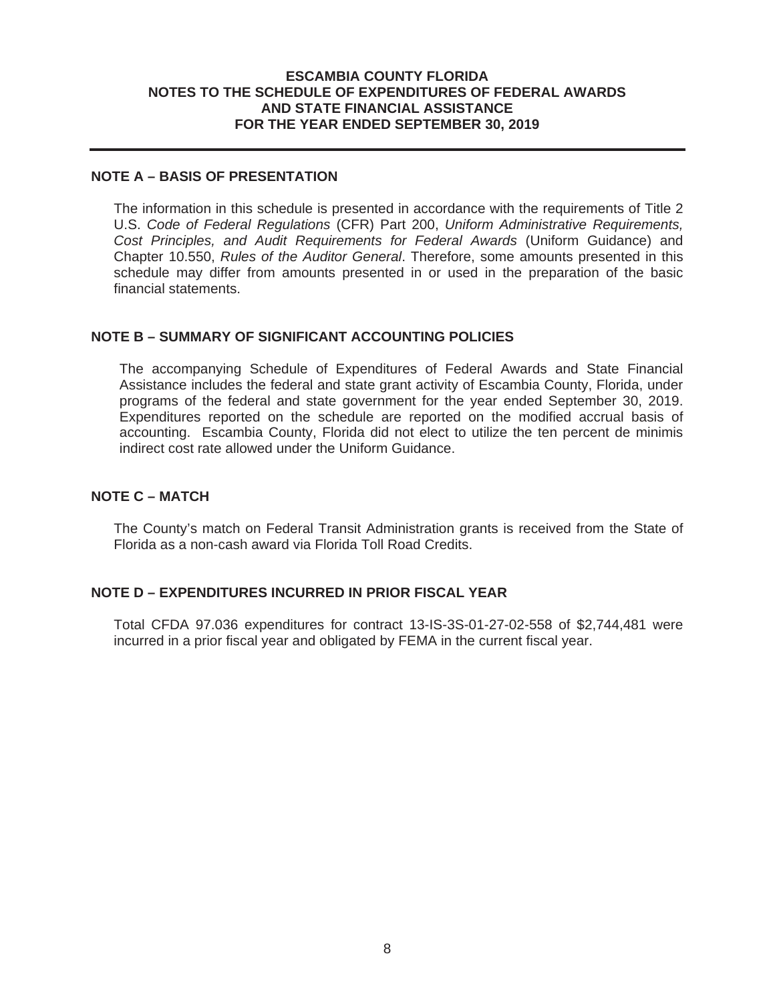#### **ESCAMBIA COUNTY FLORIDA NOTES TO THE SCHEDULE OF EXPENDITURES OF FEDERAL AWARDS AND STATE FINANCIAL ASSISTANCE FOR THE YEAR ENDED SEPTEMBER 30, 2019**

## **NOTE A – BASIS OF PRESENTATION**

The information in this schedule is presented in accordance with the requirements of Title 2 U.S. *Code of Federal Regulations* (CFR) Part 200, *Uniform Administrative Requirements, Cost Principles, and Audit Requirements for Federal Awards* (Uniform Guidance) and Chapter 10.550, *Rules of the Auditor General*. Therefore, some amounts presented in this schedule may differ from amounts presented in or used in the preparation of the basic financial statements.

#### **NOTE B – SUMMARY OF SIGNIFICANT ACCOUNTING POLICIES**

The accompanying Schedule of Expenditures of Federal Awards and State Financial Assistance includes the federal and state grant activity of Escambia County, Florida, under programs of the federal and state government for the year ended September 30, 2019. Expenditures reported on the schedule are reported on the modified accrual basis of accounting. Escambia County, Florida did not elect to utilize the ten percent de minimis indirect cost rate allowed under the Uniform Guidance.

#### **NOTE C – MATCH**

The County's match on Federal Transit Administration grants is received from the State of Florida as a non-cash award via Florida Toll Road Credits.

## **NOTE D – EXPENDITURES INCURRED IN PRIOR FISCAL YEAR**

Total CFDA 97.036 expenditures for contract 13-IS-3S-01-27-02-558 of \$2,744,481 were incurred in a prior fiscal year and obligated by FEMA in the current fiscal year.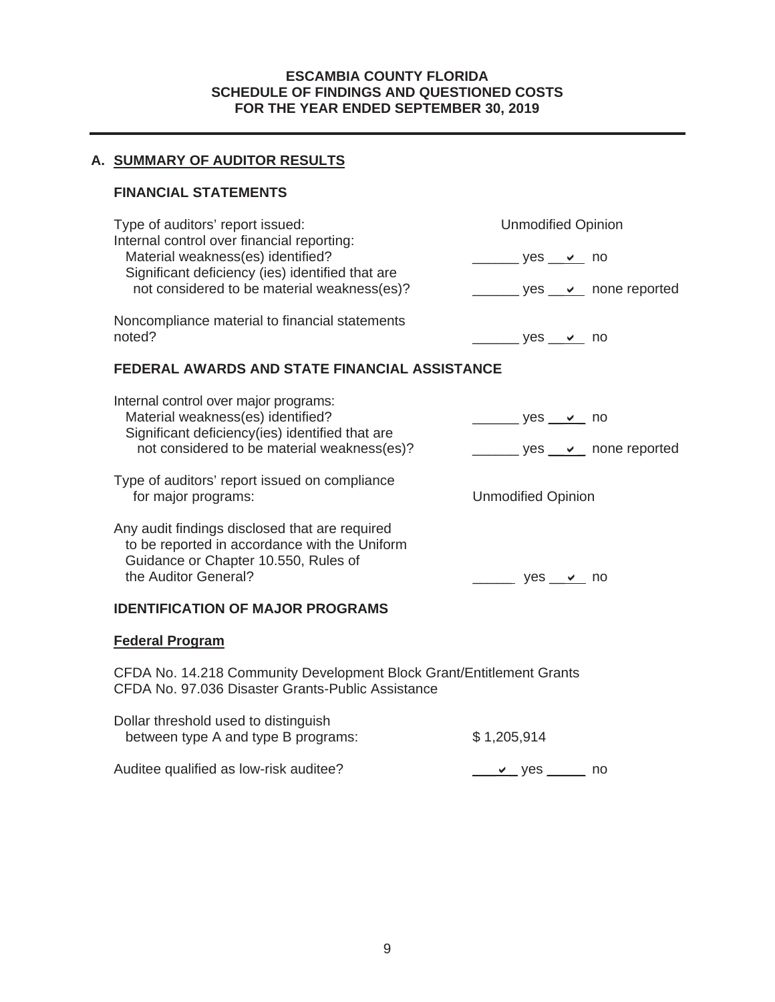## **ESCAMBIA COUNTY FLORIDA SCHEDULE OF FINDINGS AND QUESTIONED COSTS FOR THE YEAR ENDED SEPTEMBER 30, 2019**

## **A. SUMMARY OF AUDITOR RESULTS**

## **FINANCIAL STATEMENTS**

| Type of auditors' report issued:<br>Internal control over financial reporting:                                                          | <b>Unmodified Opinion</b>                        |  |  |  |  |
|-----------------------------------------------------------------------------------------------------------------------------------------|--------------------------------------------------|--|--|--|--|
| Material weakness(es) identified?                                                                                                       | $\frac{1}{2}$ yes $\frac{1}{2}$ no               |  |  |  |  |
| Significant deficiency (ies) identified that are<br>not considered to be material weakness(es)?                                         | yes <u>v</u> none reported                       |  |  |  |  |
| Noncompliance material to financial statements<br>noted?                                                                                | <u>_______</u> yes __ <b>∨</b> __ no             |  |  |  |  |
| FEDERAL AWARDS AND STATE FINANCIAL ASSISTANCE                                                                                           |                                                  |  |  |  |  |
| Internal control over major programs:<br>Material weakness(es) identified?                                                              | ______ yes __ <b>∨</b> _ no                      |  |  |  |  |
| Significant deficiency(ies) identified that are                                                                                         |                                                  |  |  |  |  |
| not considered to be material weakness(es)?                                                                                             | yes <u>v</u> none reported                       |  |  |  |  |
| Type of auditors' report issued on compliance<br>for major programs:                                                                    | <b>Unmodified Opinion</b>                        |  |  |  |  |
| Any audit findings disclosed that are required<br>to be reported in accordance with the Uniform<br>Guidance or Chapter 10.550, Rules of |                                                  |  |  |  |  |
| the Auditor General?                                                                                                                    | $\rule{1em}{0.15mm}$ yes $\rule{1em}{0.15mm}$ no |  |  |  |  |
| <b>IDENTIFICATION OF MAJOR PROGRAMS</b>                                                                                                 |                                                  |  |  |  |  |
| <b>Federal Program</b>                                                                                                                  |                                                  |  |  |  |  |
| CFDA No. 14.218 Community Development Block Grant/Entitlement Grants<br>CFDA No. 97.036 Disaster Grants-Public Assistance               |                                                  |  |  |  |  |

| Dollar threshold used to distinguish<br>between type A and type B programs: | \$1,205,914             |  |
|-----------------------------------------------------------------------------|-------------------------|--|
| Auditee qualified as low-risk auditee?                                      | $\_\_\\$ ves $\_\_\$ no |  |